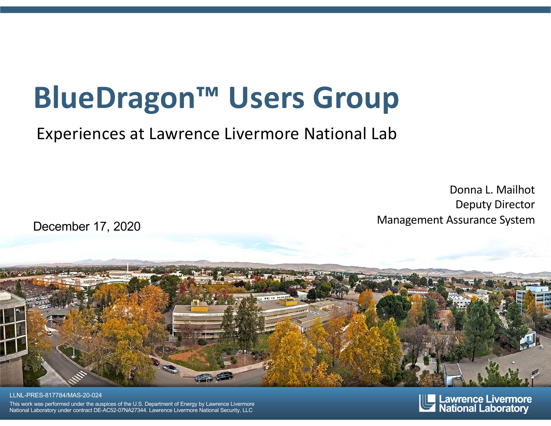## **BlueDragon™ Users Group**

Experiences at Lawrence Livermore National Lab

Donna L. Mailhot Deputy Director Management Assurance System

December 17, 2020



LLNL-PRES-817784/MAS-20-024 This work was performed under the auspices of the U.S. Department of Energy by Lawrence Livermore National Laboratory under contract DE-AC52-07NA27344. Lawrence Livermore National Security, LLC

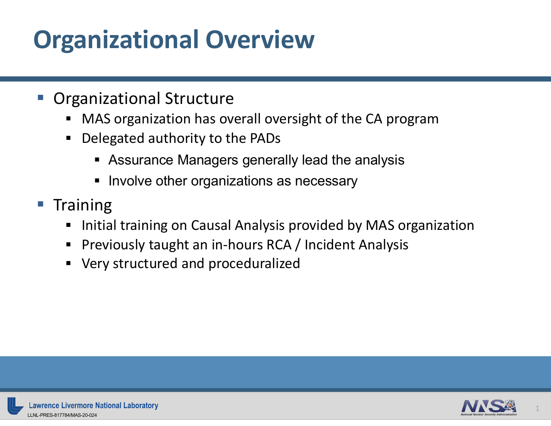## **Organizational Overview**

#### § Organizational Structure

- MAS organization has overall oversight of the CA program
- § Delegated authority to the PADs
	- Assurance Managers generally lead the analysis
	- Involve other organizations as necessary
- Training
	- Initial training on Causal Analysis provided by MAS organization
	- Previously taught an in-hours RCA / Incident Analysis
	- § Very structured and proceduralized

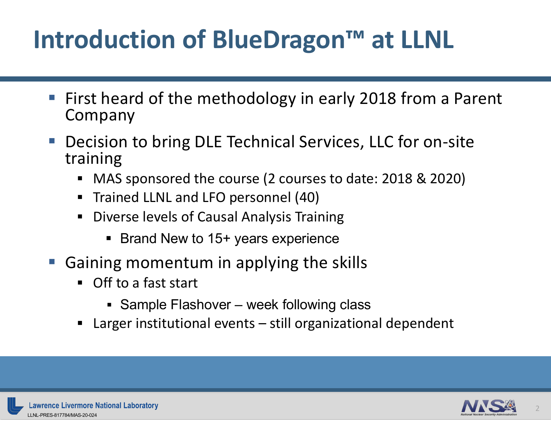#### **Introduction of BlueDragon™ at LLNL**

- First heard of the methodology in early 2018 from a Parent Company
- Decision to bring DLE Technical Services, LLC for on-site training
	- § MAS sponsored the course (2 courses to date: 2018 & 2020)
	- **F** Trained LLNL and LFO personnel (40)
	- **Diverse levels of Causal Analysis Training** 
		- § Brand New to 15+ years experience
- § Gaining momentum in applying the skills
	- Off to a fast start
		- Sample Flashover week following class
	- Larger institutional events still organizational dependent

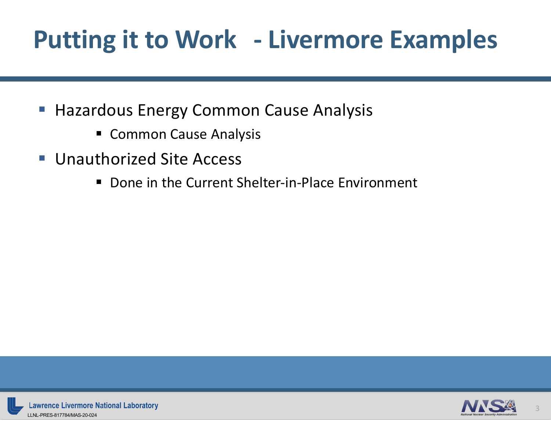## **Putting it to Work - Livermore Examples**

- Hazardous Energy Common Cause Analysis
	- Common Cause Analysis
- Unauthorized Site Access
	- Done in the Current Shelter-in-Place Environment

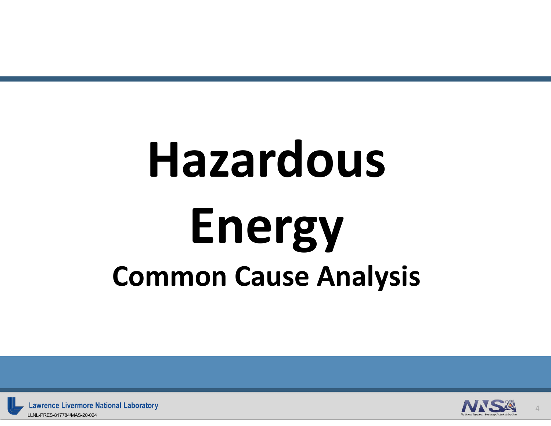## **Hazardous Energy Common Cause Analysis**



**Lawrence Livermore National Laboratory** LLNL-PRES-817784/MAS-20-024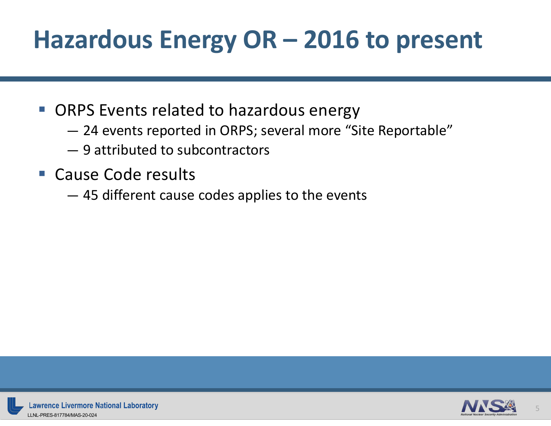## **Hazardous Energy OR – 2016 to present**

- ORPS Events related to hazardous energy
	- 24 events reported in ORPS; several more "Site Reportable"
	- 9 attributed to subcontractors
- Cause Code results
	- 45 different cause codes applies to the events

5

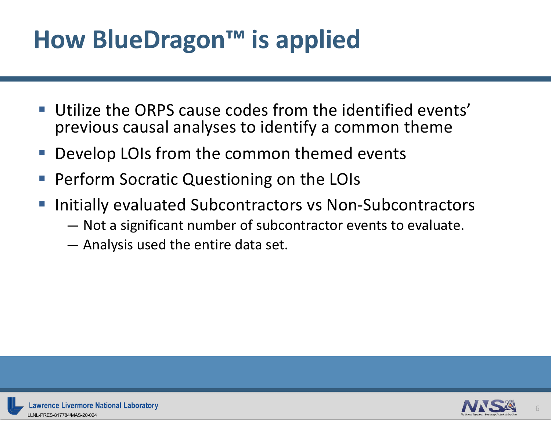## **How BlueDragon™ is applied**

- Utilize the ORPS cause codes from the identified events' previous causal analyses to identify a common theme
- Develop LOIs from the common themed events
- § Perform Socratic Questioning on the LOIs
- Initially evaluated Subcontractors vs Non-Subcontractors
	- Not a significant number of subcontractor events to evaluate.
	- Analysis used the entire data set.

6

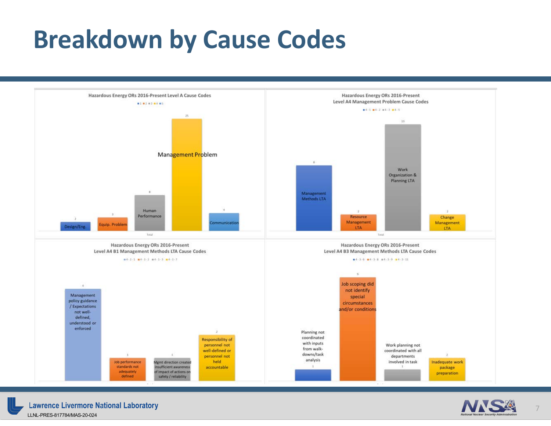#### **Breakdown by Cause Codes**





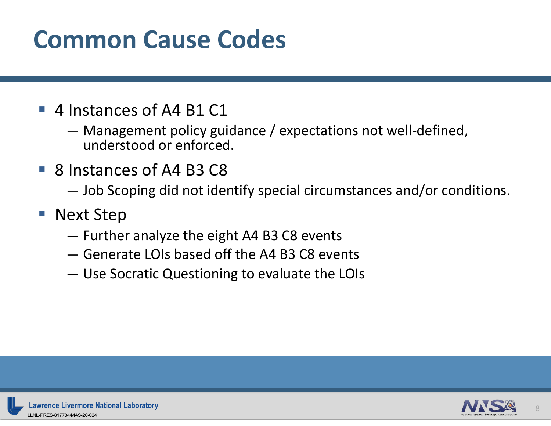#### **Common Cause Codes**

- 4 Instances of A4 B1 C1
	- Management policy guidance / expectations not well-defined, understood or enforced.
- 8 Instances of A4 B3 C8
	- Job Scoping did not identify special circumstances and/or conditions.
- Next Step
	- Further analyze the eight A4 B3 C8 events
	- Generate LOIs based off the A4 B3 C8 events
	- Use Socratic Questioning to evaluate the LOIs

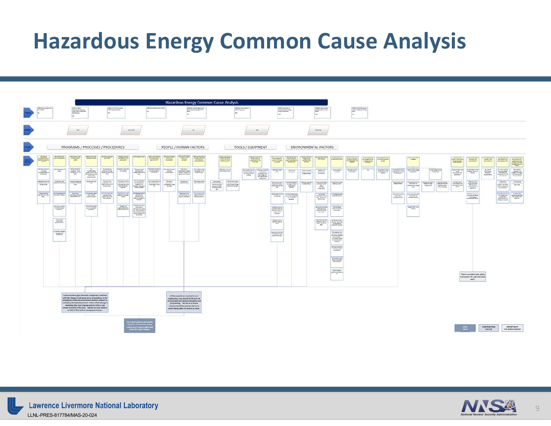#### **Hazardous Energy Common Cause Analysis**

|                                                                                                                              | <b>Hazardous Energy Common Cause Analysis</b>                                                                                                                                                                                 |                                                                                                                                                                                                                                                                                                                                                                                                                                        |                                                                            |                                                                                                                                                                                                                                                                                         |                                                                                          |                                                                                                                                                                                                                                                                                                                                                                                                           |                                                                                                                                                                                                                                                                                                                                                                                                                                                                                                                                                                                                                                                                                   |                                                    |                                                                                                            |                                                                                                                                                                                                            |                                                              |                                                                                                                                                                                                                                                                                                                                                                                                                                                                                                          |                                                                                                                                                                                                                                                                                                                        |                                                                                                                                                                                                                                                                                                                                                                                                                                                     |                                                                                                                                                                                                                                                                                                                                                                                                                                                                                  |                                                                         |                                                                                                                                                                                                                               |                                                                                                                                                                                                                                                                                                                                                                                                                                                                              |                                                                                                                                                                                                                                                                                                                                                                                                                                                                                                          |                                       |                                           |                                                                                                                                                                                                                                                                                                                                                                                                                                                                            |                                               |                        |                                        |                                                                                                                                                                                                                                                                                                                                                                                                                                            |                                                                                                                                            |                                             |                                                                                                                                                                                                                                                                                                                                                                                                                                                                                                                                      |
|------------------------------------------------------------------------------------------------------------------------------|-------------------------------------------------------------------------------------------------------------------------------------------------------------------------------------------------------------------------------|----------------------------------------------------------------------------------------------------------------------------------------------------------------------------------------------------------------------------------------------------------------------------------------------------------------------------------------------------------------------------------------------------------------------------------------|----------------------------------------------------------------------------|-----------------------------------------------------------------------------------------------------------------------------------------------------------------------------------------------------------------------------------------------------------------------------------------|------------------------------------------------------------------------------------------|-----------------------------------------------------------------------------------------------------------------------------------------------------------------------------------------------------------------------------------------------------------------------------------------------------------------------------------------------------------------------------------------------------------|-----------------------------------------------------------------------------------------------------------------------------------------------------------------------------------------------------------------------------------------------------------------------------------------------------------------------------------------------------------------------------------------------------------------------------------------------------------------------------------------------------------------------------------------------------------------------------------------------------------------------------------------------------------------------------------|----------------------------------------------------|------------------------------------------------------------------------------------------------------------|------------------------------------------------------------------------------------------------------------------------------------------------------------------------------------------------------------|--------------------------------------------------------------|----------------------------------------------------------------------------------------------------------------------------------------------------------------------------------------------------------------------------------------------------------------------------------------------------------------------------------------------------------------------------------------------------------------------------------------------------------------------------------------------------------|------------------------------------------------------------------------------------------------------------------------------------------------------------------------------------------------------------------------------------------------------------------------------------------------------------------------|-----------------------------------------------------------------------------------------------------------------------------------------------------------------------------------------------------------------------------------------------------------------------------------------------------------------------------------------------------------------------------------------------------------------------------------------------------|----------------------------------------------------------------------------------------------------------------------------------------------------------------------------------------------------------------------------------------------------------------------------------------------------------------------------------------------------------------------------------------------------------------------------------------------------------------------------------|-------------------------------------------------------------------------|-------------------------------------------------------------------------------------------------------------------------------------------------------------------------------------------------------------------------------|------------------------------------------------------------------------------------------------------------------------------------------------------------------------------------------------------------------------------------------------------------------------------------------------------------------------------------------------------------------------------------------------------------------------------------------------------------------------------|----------------------------------------------------------------------------------------------------------------------------------------------------------------------------------------------------------------------------------------------------------------------------------------------------------------------------------------------------------------------------------------------------------------------------------------------------------------------------------------------------------|---------------------------------------|-------------------------------------------|----------------------------------------------------------------------------------------------------------------------------------------------------------------------------------------------------------------------------------------------------------------------------------------------------------------------------------------------------------------------------------------------------------------------------------------------------------------------------|-----------------------------------------------|------------------------|----------------------------------------|--------------------------------------------------------------------------------------------------------------------------------------------------------------------------------------------------------------------------------------------------------------------------------------------------------------------------------------------------------------------------------------------------------------------------------------------|--------------------------------------------------------------------------------------------------------------------------------------------|---------------------------------------------|--------------------------------------------------------------------------------------------------------------------------------------------------------------------------------------------------------------------------------------------------------------------------------------------------------------------------------------------------------------------------------------------------------------------------------------------------------------------------------------------------------------------------------------|
|                                                                                                                              |                                                                                                                                                                                                                               |                                                                                                                                                                                                                                                                                                                                                                                                                                        | computato<br>Montana faceve<br>Saltanana<br>Malawana                       |                                                                                                                                                                                                                                                                                         |                                                                                          | control process acts.<br>Net titles by fishing                                                                                                                                                                                                                                                                                                                                                            |                                                                                                                                                                                                                                                                                                                                                                                                                                                                                                                                                                                                                                                                                   | <b>SMCMITH POWERS &amp; ROA</b>                    |                                                                                                            |                                                                                                                                                                                                            | <b>DRIAD LIGHT MAY</b><br><b>WWW.</b><br>Wallen Links (1995) |                                                                                                                                                                                                                                                                                                                                                                                                                                                                                                          | <b>DRA-D David Brand</b><br>North Bank (d)                                                                                                                                                                                                                                                                             |                                                                                                                                                                                                                                                                                                                                                                                                                                                     | $\begin{array}{l} \hbox{\small\it CMEB-CTB} \hbox{\small\it B} \hbox{\small\it B} \hbox{\small\it D} \hbox{\small\it D} \hbox{\small\it D} \hbox{\small\it D} \hbox{\small\it D} \hbox{\small\it D} \hbox{\small\it D} \hbox{\small\it D} \hbox{\small\it D} \hbox{\small\it D} \hbox{\small\it D} \hbox{\small\it D} \hbox{\small\it D} \hbox{\small\it D} \hbox{\small\it D} \hbox{\small\it D} \hbox{\small\it D} \hbox{\small\it D} \hbox{\small\it D} \hbox{\small\it D} \$ |                                                                         | <b>DRIAR baseball</b>                                                                                                                                                                                                         |                                                                                                                                                                                                                                                                                                                                                                                                                                                                              | <b>MACALLATER Trees</b><br>$\frac{1}{2}$                                                                                                                                                                                                                                                                                                                                                                                                                                                                 | colloide (Van Trang                   |                                           |                                                                                                                                                                                                                                                                                                                                                                                                                                                                            |                                               |                        |                                        |                                                                                                                                                                                                                                                                                                                                                                                                                                            |                                                                                                                                            |                                             |                                                                                                                                                                                                                                                                                                                                                                                                                                                                                                                                      |
|                                                                                                                              |                                                                                                                                                                                                                               |                                                                                                                                                                                                                                                                                                                                                                                                                                        |                                                                            |                                                                                                                                                                                                                                                                                         |                                                                                          | Distance.                                                                                                                                                                                                                                                                                                                                                                                                 |                                                                                                                                                                                                                                                                                                                                                                                                                                                                                                                                                                                                                                                                                   |                                                    |                                                                                                            |                                                                                                                                                                                                            | $-96$                                                        | <b>Candi</b>                                                                                                                                                                                                                                                                                                                                                                                                                                                                                             |                                                                                                                                                                                                                                                                                                                        |                                                                                                                                                                                                                                                                                                                                                                                                                                                     |                                                                                                                                                                                                                                                                                                                                                                                                                                                                                  |                                                                         | Nothing 1                                                                                                                                                                                                                     |                                                                                                                                                                                                                                                                                                                                                                                                                                                                              |                                                                                                                                                                                                                                                                                                                                                                                                                                                                                                          |                                       |                                           |                                                                                                                                                                                                                                                                                                                                                                                                                                                                            |                                               |                        |                                        |                                                                                                                                                                                                                                                                                                                                                                                                                                            |                                                                                                                                            |                                             |                                                                                                                                                                                                                                                                                                                                                                                                                                                                                                                                      |
|                                                                                                                              |                                                                                                                                                                                                                               |                                                                                                                                                                                                                                                                                                                                                                                                                                        |                                                                            | PROGRAMS / PROCESSES / PROCEDURES                                                                                                                                                                                                                                                       |                                                                                          |                                                                                                                                                                                                                                                                                                                                                                                                           |                                                                                                                                                                                                                                                                                                                                                                                                                                                                                                                                                                                                                                                                                   |                                                    | PEOPLE / HUMAN FACTORS                                                                                     |                                                                                                                                                                                                            |                                                              |                                                                                                                                                                                                                                                                                                                                                                                                                                                                                                          | <b>TOOLS / EQUIPMENT</b>                                                                                                                                                                                                                                                                                               |                                                                                                                                                                                                                                                                                                                                                                                                                                                     |                                                                                                                                                                                                                                                                                                                                                                                                                                                                                  |                                                                         | <b>ENVIRONMENTAL FACTORS</b>                                                                                                                                                                                                  |                                                                                                                                                                                                                                                                                                                                                                                                                                                                              |                                                                                                                                                                                                                                                                                                                                                                                                                                                                                                          |                                       |                                           |                                                                                                                                                                                                                                                                                                                                                                                                                                                                            |                                               |                        |                                        |                                                                                                                                                                                                                                                                                                                                                                                                                                            |                                                                                                                                            |                                             |                                                                                                                                                                                                                                                                                                                                                                                                                                                                                                                                      |
|                                                                                                                              | <b>Wy Wild:</b><br><b>Million Barrows India</b><br>Taxabar                                                                                                                                                                    | <b>Myse Heart</b>                                                                                                                                                                                                                                                                                                                                                                                                                      | <b>Buildingham</b><br>meland by the                                        | <b>Vallentister</b><br><b>Millered Section</b>                                                                                                                                                                                                                                          | <b>Hornsbeat</b><br><b><i><u>Informal</u></i></b>                                        | Walgramsen<br>telepristic Re<br><b>Institute</b>                                                                                                                                                                                                                                                                                                                                                          | (Tell Pelgi (Finant)                                                                                                                                                                                                                                                                                                                                                                                                                                                                                                                                                                                                                                                              | <b>MASSAGERS MARINE</b><br>S. A. Partiettut 21     | Wyses Number                                                                                               | Myses Paides<br>mineral and<br>sales!                                                                                                                                                                      | <b>The bac fix abance</b><br>Patentinan<br>Additional        |                                                                                                                                                                                                                                                                                                                                                                                                                                                                                                          | <b>Myan Free Int</b><br>Refer to be<br>Threat                                                                                                                                                                                                                                                                          | <b>White Section</b><br>and Sourcester                                                                                                                                                                                                                                                                                                                                                                                                              | <b>ANY AD IN THE</b><br>indelimity of<br>division the future.<br>The article just                                                                                                                                                                                                                                                                                                                                                                                                | <b>Build for forest</b><br><b>COMPANIES</b><br>PERSONALES<br>PERSONALES | we should be<br><b>Ith raise!</b>                                                                                                                                                                                             | <b>Constitute Links</b><br><b>Middleton Da (Ho)</b>                                                                                                                                                                                                                                                                                                                                                                                                                          | $\frac{1}{\sqrt{2}}\frac{1}{\sqrt{2}}\frac{1}{\sqrt{2}}\frac{1}{\sqrt{2}}\frac{1}{\sqrt{2}}\frac{1}{\sqrt{2}}\frac{1}{\sqrt{2}}\frac{1}{\sqrt{2}}\frac{1}{\sqrt{2}}\frac{1}{\sqrt{2}}\frac{1}{\sqrt{2}}\frac{1}{\sqrt{2}}\frac{1}{\sqrt{2}}\frac{1}{\sqrt{2}}\frac{1}{\sqrt{2}}\frac{1}{\sqrt{2}}\frac{1}{\sqrt{2}}\frac{1}{\sqrt{2}}\frac{1}{\sqrt{2}}\frac{1}{\sqrt{2}}\frac{1}{\sqrt{2}}\frac{1}{\sqrt{2}}$                                                                                           | <b>Ad managed such as</b>             | <b>RESIDENCE</b><br>RATHLIGHT             |                                                                                                                                                                                                                                                                                                                                                                                                                                                                            | <b>The Corporation</b>                        |                        |                                        | $\begin{tabular}{ c c } \hline \multicolumn{3}{ c }{\multicolumn{3}{ c }{\multicolumn{3}{ c }{\multicolumn{3}{ c }{\multicolumn{3}{ c }{\multicolumn{3}{ c }{\multicolumn{3}{ c }{\multicolumn{3}{ c }{\multicolumn{3}{ c }{\multicolumn{3}{ c }{\multicolumn{3}{ c }{\multicolumn{3}{ c }{\multicolumn{3}{ c }{\multicolumn{3}{ c }{\multicolumn{3}{ c }{\multicolumn{3}{ c }{\multicolumn{3}{ c }{\multicolumn{3}{ c }{\multicolumn{3}{$ | <b>Telephone</b>                                                                                                                           | <b><i>Middle Ballie</i></b>                 | <b>MESSING</b>                                                                                                                                                                                                                                                                                                                                                                                                                                                                                                                       |
|                                                                                                                              | $\begin{array}{r} \begin{array}{c} \text{in } \texttt{F} \text{ is not a}\\ \text{in } \texttt{F} \text{ is not a}\\ \text{in } \texttt{F} \text{ is not a}\\ \text{in } \texttt{F} \text{ is not a} \end{array} \end{array}$ | <b>Call of parentship</b>                                                                                                                                                                                                                                                                                                                                                                                                              | $\frac{1}{\log\log\log n}$                                                 | $\begin{array}{l} \begin{array}{c} \text{We have } \text{trivial} \\ \text{there exists} \\ \text{infinite} \end{array} \end{array}$                                                                                                                                                    |                                                                                          | Telephone Street                                                                                                                                                                                                                                                                                                                                                                                          | There are a<br>Designative<br>Pergerakan at the<br>$rac{1}{2}$<br><b>Basic Market</b>                                                                                                                                                                                                                                                                                                                                                                                                                                                                                                                                                                                             | he paint blasting<br>For earlies                   | has safed at parent<br>Third back<br>management                                                            | $\begin{tabular}{ c c } \hline & Neck \\ \hline \hline \hline \end{tabular}$                                                                                                                               | <b>The Seconds</b>                                           | <b>Principal Strike of</b>                                                                                                                                                                                                                                                                                                                                                                                                                                                                               | <b>Bernstein dras in</b><br>$\begin{array}{c} \begin{array}{c} \text{We can prove} \\ \text{or before} \\ \text{for the same set} \end{array} \\ \begin{array}{c} \text{or we have} \\ \text{for the same set} \\ \text{for the same set} \end{array} \end{array}$<br>the fight refligeation<br>frameworks<br>fighting | toms.                                                                                                                                                                                                                                                                                                                                                                                                                                               | <b>GREATER</b><br>determined                                                                                                                                                                                                                                                                                                                                                                                                                                                     | <b>Tel: Edit columns</b><br>recherly the obtains.<br>Todayan charges    | <b>Televis Life</b><br>Television<br>Communication                                                                                                                                                                            | <b>Ryle Autrent</b><br><b>JERUAL</b>                                                                                                                                                                                                                                                                                                                                                                                                                                         | <b>Very older local de</b><br>$\frac{1}{2} \left( \frac{1}{2} \right) \left( \frac{1}{2} \right) \left( \frac{1}{2} \right) \left( \frac{1}{2} \right) \left( \frac{1}{2} \right) \left( \frac{1}{2} \right) \left( \frac{1}{2} \right) \left( \frac{1}{2} \right) \left( \frac{1}{2} \right) \left( \frac{1}{2} \right) \left( \frac{1}{2} \right) \left( \frac{1}{2} \right) \left( \frac{1}{2} \right) \left( \frac{1}{2} \right) \left( \frac{1}{2} \right) \left( \frac{1}{2} \right) \left( \frac$ |                                       | le, comi s pro<br><b>Baltimore at the</b> | $\begin{tabular}{ c c } \hline \multicolumn{1}{ c }{\textbf{Poisson}}\\ \hline \multicolumn{1}{ c }{\textbf{Poisson}}\\ \hline \multicolumn{1}{ c }{\textbf{Poisson}}\\ \hline \multicolumn{1}{ c }{\textbf{Poisson}}\\ \hline \multicolumn{1}{ c }{\textbf{Poisson}}\\ \hline \multicolumn{1}{ c }{\textbf{Poisson}}\\ \hline \multicolumn{1}{ c }{\textbf{Poisson}}\\ \hline \multicolumn{1}{ c }{\textbf{Poisson}}\\ \hline \multicolumn{1}{ c }{\textbf{Poisson}}\\ \$ | <b>Text African Fund</b><br><b>THEMANY</b>    | Paint Programs         |                                        | $\frac{1}{\sqrt{2}}$                                                                                                                                                                                                                                                                                                                                                                                                                       | <b>In automobile Hall</b><br>Address Provid-Str.                                                                                           | $\frac{\lambda_{\rm DM}}{\lambda_{\rm DM}}$ | $\begin{tabular}{ c c } \hline \multicolumn{1}{ c }{\hspace{1.5em}} \multicolumn{1}{ c }{\hspace{1.5em}} \multicolumn{1}{ c }{\hspace{1.5em}}\hline \multicolumn{1}{ c }{\hspace{1.5em}}\hline \multicolumn{1}{ c }{\hspace{1.5em}}\hline \multicolumn{1}{ c }{\hspace{1.5em}}\hline \multicolumn{1}{ c }{\hspace{1.5em}}\hline \multicolumn{1}{ c }{\hspace{1.5em}}\hline \multicolumn{1}{ c }{\hspace{1.5em}}\hline \multicolumn$<br><b>By Floorband</b><br>$\frac{1}{\sqrt{2}}$                                                   |
|                                                                                                                              | datasis sons far<br>Escriptores et el.<br>Tra parte titus                                                                                                                                                                     | Detectionals.<br>New automobile<br>ALCOHOLIGE                                                                                                                                                                                                                                                                                                                                                                                          | The services may also<br>hold address searching<br>was.<br><b>Director</b> | Thursday.                                                                                                                                                                                                                                                                               | The contractors<br>The Philadelphia and the<br><b>Reachers</b><br><b>Distribuição</b> IV | <b>The improved at the</b><br>$\begin{array}{l} \hbox{a) the 1D} \hbox{A} \hbox{A} \hbox{B} \hbox{B} \hbox{C} \hbox{D} \hbox{A} \hbox{A} \hbox{A} \hbox{A} \hbox{A} \hbox{A} \hbox{A} \hbox{A} \hbox{A} \hbox{A} \hbox{A} \hbox{A} \hbox{A} \hbox{A} \hbox{A} \hbox{A} \hbox{A} \hbox{A} \hbox{A} \hbox{A} \hbox{A} \hbox{A} \hbox{A} \hbox{A} \hbox{A} \hbox{A} \hbox{A} \hbox{$<br><b>European List</b> | $\begin{array}{l} \begin{array}{c} \text{nontrivial} \\ \text{nontrivial} \end{array} \end{array}$<br>TH AUROR OF                                                                                                                                                                                                                                                                                                                                                                                                                                                                                                                                                                 | at thermodyna<br>Redolfra fasci<br>d'Orangels care | $\begin{array}{c} \text{Therefore} \\ \text{converms} \end{array}$<br><b>Canadian Avenue</b><br>The castle | <b>Sciences</b>                                                                                                                                                                                            | Weldfield make                                               | $\begin{tabular}{ c c } \hline \textbf{MSE} & \textbf{MSE} & \textbf{MSE} \\ \hline \textbf{MSE} & \textbf{MSE} & \textbf{MSE} \\ \hline \textbf{MSE} & \textbf{MSE} & \textbf{MSE} \\ \hline \textbf{MSE} & \textbf{MSE} & \textbf{MSE} \\ \hline \end{tabular}$<br>$\begin{array}{l} \begin{array}{l} \mbox{In addition,}\\ \mbox{intra of a 14} \\ \mbox{intra of a 16} \\ \mbox{intra of 16} \\ \mbox{intra of 16} \\ \mbox{intra of 16} \\ \mbox{intra of 16} \\ \mbox{in} \end{array} \end{array}$ |                                                                                                                                                                                                                                                                                                                        | $\begin{tabular}{ c c c c } \hline \hline \multicolumn{1}{ c }{\textbf{M}} & \multicolumn{1}{ c }{\textbf{M}} & \multicolumn{1}{ c }{\textbf{M}} & \multicolumn{1}{ c }{\textbf{M}} & \multicolumn{1}{ c }{\textbf{M}} & \multicolumn{1}{ c }{\textbf{M}} & \multicolumn{1}{ c }{\textbf{M}} & \multicolumn{1}{ c }{\textbf{M}} & \multicolumn{1}{ c }{\textbf{M}} & \multicolumn{1}{ c }{\textbf{M}} & \multicolumn{1}{ c }{\textbf{M}} &$<br>let. | 明                                                                                                                                                                                                                                                                                                                                                                                                                                                                                | collabora Ma Job.                                                       | they be undertook<br>a single face?<br>190°38                                                                                                                                                                                 | <b>ALGOT PR V LIB</b>                                                                                                                                                                                                                                                                                                                                                                                                                                                        |                                                                                                                                                                                                                                                                                                                                                                                                                                                                                                          |                                       |                                           | With places is not                                                                                                                                                                                                                                                                                                                                                                                                                                                         | <b>STORED IN</b><br>tool air clarat.<br>Side: | <b>STATE OF STREET</b> | <b>ASSESSMENT</b><br>additional scient | atasi Ayri<br>minta dan De<br>minta dan                                                                                                                                                                                                                                                                                                                                                                                                    | <b>The course</b><br>newtherliber work<br>TMS They many<br>midwachen<br>Heining                                                            |                                             | $\frac{\partial^2 \mathcal{L}(\mathcal{L})}{\partial \mathcal{L}(\mathcal{L})}$<br>MATELIA HAL<br><b>Green Life</b>                                                                                                                                                                                                                                                                                                                                                                                                                  |
|                                                                                                                              | $\begin{tabular}{ c c } \hline Insetpm & \\ \hline \end{tabular}$                                                                                                                                                             | protective of talants.                                                                                                                                                                                                                                                                                                                                                                                                                 | surang patients                                                            | The company come<br>- the profiles<br>- managed happen                                                                                                                                                                                                                                  |                                                                                          | semic bicycles                                                                                                                                                                                                                                                                                                                                                                                            | $\begin{array}{l} \begin{array}{c} \text{non-zero real} \\ \text{non-zero real} \end{array} \\ \begin{array}{c} \text{non-zero real} \\ \text{non-zero real} \end{array} \end{array}$                                                                                                                                                                                                                                                                                                                                                                                                                                                                                             |                                                    |                                                                                                            | $\begin{array}{l} \begin{array}{c} \text{non-mass} \\ \text{non-mass} \end{array} \end{array}$                                                                                                             | The addition and<br>Market School                            |                                                                                                                                                                                                                                                                                                                                                                                                                                                                                                          |                                                                                                                                                                                                                                                                                                                        | <b>Part charge on Lots</b><br>mi mainté                                                                                                                                                                                                                                                                                                                                                                                                             | Litten column a<br><b>TITES departs</b><br>$\frac{d\ln\left(1+\delta\right)}{d\ln\left(1+\delta\right)}$                                                                                                                                                                                                                                                                                                                                                                         |                                                                         | $\begin{array}{l} \begin{array}{c} \hline \text{M} \text{ (H)} \text{ (H)} \text{ (H)} \end{array} \\ \begin{array}{c} \text{M} \text{ (H)} \text{ (H)} \text{ (H)} \text{ (H)} \end{array} \end{array}$                      | <b>The programmer</b>                                                                                                                                                                                                                                                                                                                                                                                                                                                        |                                                                                                                                                                                                                                                                                                                                                                                                                                                                                                          |                                       |                                           | <b>De sieuen all</b><br>albruha)<br>matelante                                                                                                                                                                                                                                                                                                                                                                                                                              | Property lies                                 |                        |                                        |                                                                                                                                                                                                                                                                                                                                                                                                                                            | $\begin{tabular}{ c c } \hline $0,100$ & $0.00000$ \\ \hline 0.00000$ & $0.00000$ \\ \hline 0.000000$ & $0.00000$ \\ \hline \end{tabular}$ |                                             | $\begin{tabular}{ c c } \hline a unitable function\\ \hline each line with $x$\\ \hline \end{tabular}$<br>$\begin{array}{ l } \hline \textbf{v} \textbf{u} \textbf{f} \textbf{u} \textbf{u} \textbf{f} \textbf{u} \textbf{f} \textbf{u} \textbf{f} \textbf{f} \textbf{f} \textbf{f} \textbf{f} \textbf{f} \textbf{f} \textbf{f} \textbf{f} \textbf{f} \textbf{f} \textbf{f} \textbf{f} \textbf{f} \textbf{f} \textbf{f} \textbf{f} \textbf{f} \textbf{f} \textbf{f} \textbf{f} \textbf{f} \textbf{f} \textbf{f} \textbf{f} \textbf{$ |
|                                                                                                                              |                                                                                                                                                                                                                               | $\begin{tabular}{ c c } \hline \multicolumn{1}{ c }{\textbf{A} & \multicolumn{1}{ c }{\textbf{A} & \multicolumn{1}{ c }{\textbf{A} & \multicolumn{1}{ c }{\textbf{A} & \multicolumn{1}{ c }{\textbf{A} & \multicolumn{1}{ c }{\textbf{A} & \multicolumn{1}{ c }{\textbf{A} & \multicolumn{1}{ c }{\textbf{A} & \multicolumn{1}{ c }{\textbf{A} & \multicolumn{1}{ c }{\textbf{A} & \multicolumn{1}{ c }{\textbf{A} & \multicolumn{1}{$ |                                                                            | $\begin{array}{l} \begin{array}{c} \text{In each of } \text{test} \\ \text{with } \text{select} \\ \text{and } \text{test} \end{array} \end{array}$                                                                                                                                     |                                                                                          | Carylei Hy<br>Tomorrow's<br>Light Holest of a                                                                                                                                                                                                                                                                                                                                                             | <b>Windows</b><br>$\begin{tabular}{ c c } \hline new test andto be the sameof the first sideof the second sideof the second sideof the second sideof the second sideof the second sideof the second sideof the second sideof the second sideof the second sideof the second sideof the second sideof the second sideof the second sideof the second sideof the second sideof the second sideof the second sideof the second sideof the second sideof the second sideof the second sideof the second sideof the second sideof the second sideof the second sideof the second sideof the second sideof the second sideof the second sideof the second sideof the second sideof the$ |                                                    |                                                                                                            |                                                                                                                                                                                                            |                                                              |                                                                                                                                                                                                                                                                                                                                                                                                                                                                                                          |                                                                                                                                                                                                                                                                                                                        |                                                                                                                                                                                                                                                                                                                                                                                                                                                     |                                                                                                                                                                                                                                                                                                                                                                                                                                                                                  |                                                                         | We can had think Libby<br>Institution the<br>distribution of the set of the red of the control                                                                                                                                | $\begin{tabular}{ c c } \hline & 0.01000 \\ \hline \hline 0.0100 \\ \hline \end{tabular}$                                                                                                                                                                                                                                                                                                                                                                                    |                                                                                                                                                                                                                                                                                                                                                                                                                                                                                                          |                                       |                                           |                                                                                                                                                                                                                                                                                                                                                                                                                                                                            | West Street                                   |                        |                                        |                                                                                                                                                                                                                                                                                                                                                                                                                                            |                                                                                                                                            |                                             |                                                                                                                                                                                                                                                                                                                                                                                                                                                                                                                                      |
|                                                                                                                              |                                                                                                                                                                                                                               | the property of the property of<br><b>Scalification Includes</b>                                                                                                                                                                                                                                                                                                                                                                       |                                                                            |                                                                                                                                                                                                                                                                                         |                                                                                          |                                                                                                                                                                                                                                                                                                                                                                                                           |                                                                                                                                                                                                                                                                                                                                                                                                                                                                                                                                                                                                                                                                                   |                                                    |                                                                                                            |                                                                                                                                                                                                            |                                                              |                                                                                                                                                                                                                                                                                                                                                                                                                                                                                                          |                                                                                                                                                                                                                                                                                                                        | Person furnish<br>pins.                                                                                                                                                                                                                                                                                                                                                                                                                             |                                                                                                                                                                                                                                                                                                                                                                                                                                                                                  |                                                                         | $\begin{tabular}{ c c } \hline \texttt{Im}(x) & \texttt{Im}(x) & \texttt{Im}(x)\\ \hline \texttt{min}(x) & \texttt{Im}(x) & \texttt{Im}(x)\\ \hline \texttt{min}(x) & \texttt{Im}(x) & \texttt{Im}(x)\\ \hline \end{tabular}$ | Ordinates<br>Material<br>Thermodel                                                                                                                                                                                                                                                                                                                                                                                                                                           |                                                                                                                                                                                                                                                                                                                                                                                                                                                                                                          |                                       |                                           |                                                                                                                                                                                                                                                                                                                                                                                                                                                                            |                                               |                        |                                        |                                                                                                                                                                                                                                                                                                                                                                                                                                            |                                                                                                                                            |                                             |                                                                                                                                                                                                                                                                                                                                                                                                                                                                                                                                      |
|                                                                                                                              |                                                                                                                                                                                                                               | <b>Personal</b>                                                                                                                                                                                                                                                                                                                                                                                                                        |                                                                            |                                                                                                                                                                                                                                                                                         |                                                                                          |                                                                                                                                                                                                                                                                                                                                                                                                           |                                                                                                                                                                                                                                                                                                                                                                                                                                                                                                                                                                                                                                                                                   |                                                    |                                                                                                            |                                                                                                                                                                                                            |                                                              |                                                                                                                                                                                                                                                                                                                                                                                                                                                                                                          |                                                                                                                                                                                                                                                                                                                        | Mahanistritti Af<br>Internetta imien<br>India fra Nobl                                                                                                                                                                                                                                                                                                                                                                                              |                                                                                                                                                                                                                                                                                                                                                                                                                                                                                  |                                                                         |                                                                                                                                                                                                                               | $\begin{tabular}{ c c } \hline \hline \textbf{or} & \textbf{in} & \textbf{in} \\ \hline \textbf{in} & \textbf{in} & \textbf{in} \\ \hline \textbf{in} & \textbf{in} & \textbf{in} \\ \hline \textbf{in} & \textbf{in} & \textbf{in} \\ \hline \textbf{in} & \textbf{in} & \textbf{in} \\ \hline \textbf{in} & \textbf{in} & \textbf{in} \\ \hline \textbf{in} & \textbf{in} & \textbf{in} \\ \hline \textbf{in} & \textbf{in} \\ \hline \textbf{in} & \textbf{in} \\ \hline$ |                                                                                                                                                                                                                                                                                                                                                                                                                                                                                                          |                                       |                                           |                                                                                                                                                                                                                                                                                                                                                                                                                                                                            |                                               |                        |                                        |                                                                                                                                                                                                                                                                                                                                                                                                                                            |                                                                                                                                            |                                             |                                                                                                                                                                                                                                                                                                                                                                                                                                                                                                                                      |
|                                                                                                                              |                                                                                                                                                                                                                               |                                                                                                                                                                                                                                                                                                                                                                                                                                        |                                                                            |                                                                                                                                                                                                                                                                                         |                                                                                          |                                                                                                                                                                                                                                                                                                                                                                                                           |                                                                                                                                                                                                                                                                                                                                                                                                                                                                                                                                                                                                                                                                                   |                                                    |                                                                                                            |                                                                                                                                                                                                            |                                                              |                                                                                                                                                                                                                                                                                                                                                                                                                                                                                                          |                                                                                                                                                                                                                                                                                                                        |                                                                                                                                                                                                                                                                                                                                                                                                                                                     |                                                                                                                                                                                                                                                                                                                                                                                                                                                                                  |                                                                         |                                                                                                                                                                                                                               | $\begin{tabular}{ c c } \hline \textbf{In the number} \\ \hline \textbf{In the number} \\ \hline \end{tabular}$                                                                                                                                                                                                                                                                                                                                                              |                                                                                                                                                                                                                                                                                                                                                                                                                                                                                                          |                                       |                                           |                                                                                                                                                                                                                                                                                                                                                                                                                                                                            |                                               |                        |                                        |                                                                                                                                                                                                                                                                                                                                                                                                                                            |                                                                                                                                            |                                             |                                                                                                                                                                                                                                                                                                                                                                                                                                                                                                                                      |
|                                                                                                                              |                                                                                                                                                                                                                               |                                                                                                                                                                                                                                                                                                                                                                                                                                        |                                                                            |                                                                                                                                                                                                                                                                                         |                                                                                          |                                                                                                                                                                                                                                                                                                                                                                                                           |                                                                                                                                                                                                                                                                                                                                                                                                                                                                                                                                                                                                                                                                                   |                                                    |                                                                                                            |                                                                                                                                                                                                            |                                                              |                                                                                                                                                                                                                                                                                                                                                                                                                                                                                                          |                                                                                                                                                                                                                                                                                                                        |                                                                                                                                                                                                                                                                                                                                                                                                                                                     |                                                                                                                                                                                                                                                                                                                                                                                                                                                                                  |                                                                         |                                                                                                                                                                                                                               | <b>KT Frank and</b><br><b>MONTAGE</b>                                                                                                                                                                                                                                                                                                                                                                                                                                        |                                                                                                                                                                                                                                                                                                                                                                                                                                                                                                          |                                       |                                           |                                                                                                                                                                                                                                                                                                                                                                                                                                                                            |                                               |                        |                                        |                                                                                                                                                                                                                                                                                                                                                                                                                                            |                                                                                                                                            |                                             |                                                                                                                                                                                                                                                                                                                                                                                                                                                                                                                                      |
|                                                                                                                              |                                                                                                                                                                                                                               |                                                                                                                                                                                                                                                                                                                                                                                                                                        |                                                                            |                                                                                                                                                                                                                                                                                         |                                                                                          |                                                                                                                                                                                                                                                                                                                                                                                                           |                                                                                                                                                                                                                                                                                                                                                                                                                                                                                                                                                                                                                                                                                   |                                                    |                                                                                                            |                                                                                                                                                                                                            |                                                              |                                                                                                                                                                                                                                                                                                                                                                                                                                                                                                          |                                                                                                                                                                                                                                                                                                                        |                                                                                                                                                                                                                                                                                                                                                                                                                                                     |                                                                                                                                                                                                                                                                                                                                                                                                                                                                                  |                                                                         |                                                                                                                                                                                                                               | Distributed<br>$\frac{1}{2}$                                                                                                                                                                                                                                                                                                                                                                                                                                                 |                                                                                                                                                                                                                                                                                                                                                                                                                                                                                                          |                                       |                                           |                                                                                                                                                                                                                                                                                                                                                                                                                                                                            |                                               |                        |                                        |                                                                                                                                                                                                                                                                                                                                                                                                                                            | There is no initial LLNL safety<br>training for FBJ subcontracted<br>work.                                                                 |                                             |                                                                                                                                                                                                                                                                                                                                                                                                                                                                                                                                      |
|                                                                                                                              |                                                                                                                                                                                                                               |                                                                                                                                                                                                                                                                                                                                                                                                                                        |                                                                            | Communication gaps between workgroups combined                                                                                                                                                                                                                                          |                                                                                          |                                                                                                                                                                                                                                                                                                                                                                                                           |                                                                                                                                                                                                                                                                                                                                                                                                                                                                                                                                                                                                                                                                                   |                                                    |                                                                                                            | offsite experience received by one                                                                                                                                                                         |                                                              |                                                                                                                                                                                                                                                                                                                                                                                                                                                                                                          |                                                                                                                                                                                                                                                                                                                        |                                                                                                                                                                                                                                                                                                                                                                                                                                                     |                                                                                                                                                                                                                                                                                                                                                                                                                                                                                  |                                                                         |                                                                                                                                                                                                                               |                                                                                                                                                                                                                                                                                                                                                                                                                                                                              |                                                                                                                                                                                                                                                                                                                                                                                                                                                                                                          |                                       |                                           |                                                                                                                                                                                                                                                                                                                                                                                                                                                                            |                                               |                        |                                        |                                                                                                                                                                                                                                                                                                                                                                                                                                            |                                                                                                                                            |                                             |                                                                                                                                                                                                                                                                                                                                                                                                                                                                                                                                      |
|                                                                                                                              |                                                                                                                                                                                                                               |                                                                                                                                                                                                                                                                                                                                                                                                                                        |                                                                            | with the change in job setup led to assumptions in the<br>acceptance of the previous hazard controls without re-<br>evaluating the hazands present. When a field change is<br>identified, the Work Planner and/or H.E.H is not<br>shows involved in F&I work. There is an over reliance |                                                                                          |                                                                                                                                                                                                                                                                                                                                                                                                           |                                                                                                                                                                                                                                                                                                                                                                                                                                                                                                                                                                                                                                                                                   |                                                    |                                                                                                            | organization was shared to P&I but not<br>incorporated into hazard evaluation and<br>job planning. The lack of a formal<br>concern resolution process led to no<br>action being talen to resolve an issue. |                                                              |                                                                                                                                                                                                                                                                                                                                                                                                                                                                                                          |                                                                                                                                                                                                                                                                                                                        |                                                                                                                                                                                                                                                                                                                                                                                                                                                     |                                                                                                                                                                                                                                                                                                                                                                                                                                                                                  |                                                                         |                                                                                                                                                                                                                               |                                                                                                                                                                                                                                                                                                                                                                                                                                                                              |                                                                                                                                                                                                                                                                                                                                                                                                                                                                                                          |                                       |                                           |                                                                                                                                                                                                                                                                                                                                                                                                                                                                            |                                               |                        |                                        |                                                                                                                                                                                                                                                                                                                                                                                                                                            |                                                                                                                                            |                                             |                                                                                                                                                                                                                                                                                                                                                                                                                                                                                                                                      |
|                                                                                                                              |                                                                                                                                                                                                                               |                                                                                                                                                                                                                                                                                                                                                                                                                                        |                                                                            | on Skil of the Craft or Competent Worker.                                                                                                                                                                                                                                               |                                                                                          |                                                                                                                                                                                                                                                                                                                                                                                                           |                                                                                                                                                                                                                                                                                                                                                                                                                                                                                                                                                                                                                                                                                   |                                                    |                                                                                                            |                                                                                                                                                                                                            |                                                              |                                                                                                                                                                                                                                                                                                                                                                                                                                                                                                          |                                                                                                                                                                                                                                                                                                                        |                                                                                                                                                                                                                                                                                                                                                                                                                                                     |                                                                                                                                                                                                                                                                                                                                                                                                                                                                                  |                                                                         |                                                                                                                                                                                                                               |                                                                                                                                                                                                                                                                                                                                                                                                                                                                              |                                                                                                                                                                                                                                                                                                                                                                                                                                                                                                          |                                       |                                           |                                                                                                                                                                                                                                                                                                                                                                                                                                                                            |                                               |                        |                                        |                                                                                                                                                                                                                                                                                                                                                                                                                                            |                                                                                                                                            |                                             |                                                                                                                                                                                                                                                                                                                                                                                                                                                                                                                                      |
| The initially plained Juli 1944<br>Wellenberg of Nutzi Oceanics<br>control area? where index the<br>wheel the stope charges. |                                                                                                                                                                                                                               |                                                                                                                                                                                                                                                                                                                                                                                                                                        |                                                                            |                                                                                                                                                                                                                                                                                         |                                                                                          |                                                                                                                                                                                                                                                                                                                                                                                                           |                                                                                                                                                                                                                                                                                                                                                                                                                                                                                                                                                                                                                                                                                   |                                                    |                                                                                                            |                                                                                                                                                                                                            |                                                              |                                                                                                                                                                                                                                                                                                                                                                                                                                                                                                          |                                                                                                                                                                                                                                                                                                                        |                                                                                                                                                                                                                                                                                                                                                                                                                                                     |                                                                                                                                                                                                                                                                                                                                                                                                                                                                                  |                                                                         | <b>CALLER</b>                                                                                                                                                                                                                 |                                                                                                                                                                                                                                                                                                                                                                                                                                                                              | сомтка итлиа<br>FACTOR                                                                                                                                                                                                                                                                                                                                                                                                                                                                                   | OPPORTUNITY<br><b>FOR INFROVEMENT</b> |                                           |                                                                                                                                                                                                                                                                                                                                                                                                                                                                            |                                               |                        |                                        |                                                                                                                                                                                                                                                                                                                                                                                                                                            |                                                                                                                                            |                                             |                                                                                                                                                                                                                                                                                                                                                                                                                                                                                                                                      |



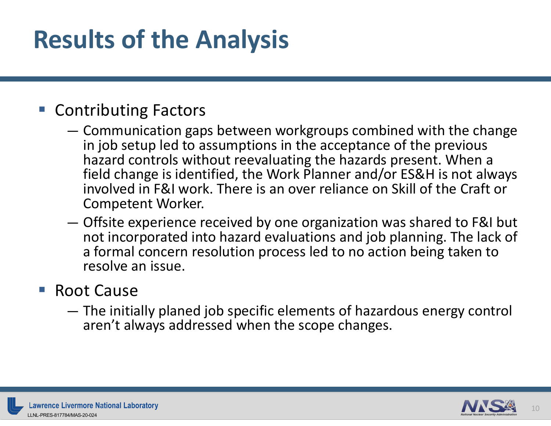#### **Results of the Analysis**

#### ■ Contributing Factors

- Communication gaps between workgroups combined with the change in job setup led to assumptions in the acceptance of the previous hazard controls without reevaluating the hazards present. When a field change is identified, the Work Planner and/or ES&H is not always involved in F&I work. There is an over reliance on Skill of the Craft or Competent Worker.
- Offsite experience received by one organization was shared to F&I but not incorporated into hazard evaluations and job planning. The lack of a formal concern resolution process led to no action being taken to resolve an issue.

#### ■ Root Cause

— The initially planed job specific elements of hazardous energy control aren't always addressed when the scope changes.

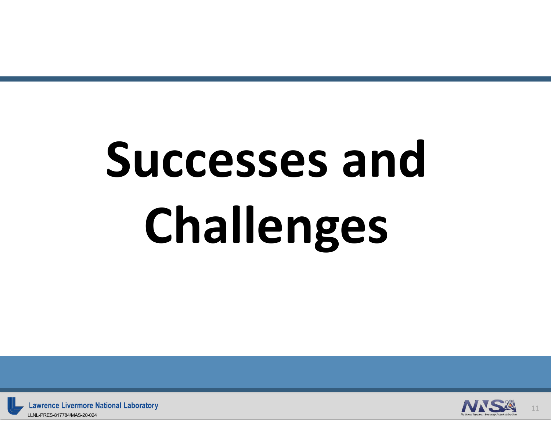# **Successes and Challenges**



11

**Lawrence Livermore National Laboratory** LLNL-PRES-817784/MAS-20-024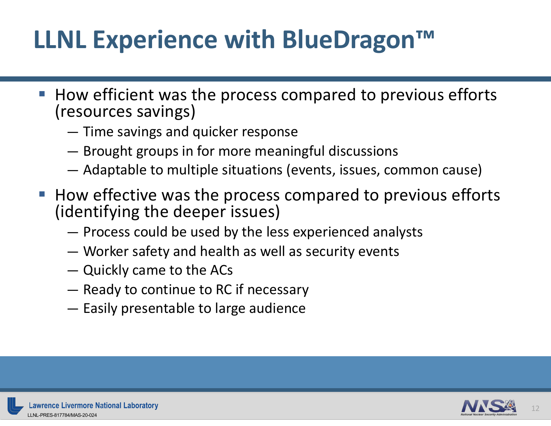### **LLNL Experience with BlueDragon™**

- How efficient was the process compared to previous efforts (resources savings)
	- Time savings and quicker response
	- Brought groups in for more meaningful discussions
	- Adaptable to multiple situations (events, issues, common cause)
- How effective was the process compared to previous efforts (identifying the deeper issues)
	- Process could be used by the less experienced analysts
	- Worker safety and health as well as security events
	- Quickly came to the ACs
	- Ready to continue to RC if necessary
	- Easily presentable to large audience



12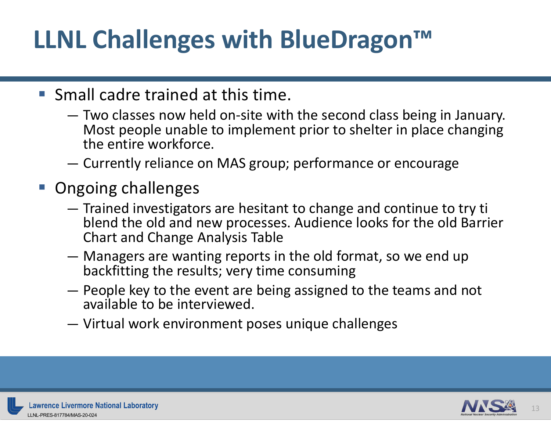## **LLNL Challenges with BlueDragon™**

- Small cadre trained at this time.
	- Two classes now held on-site with the second class being in January. Most people unable to implement prior to shelter in place changing the entire workforce.
	- Currently reliance on MAS group; performance or encourage
- Ongoing challenges
	- Trained investigators are hesitant to change and continue to try ti blend the old and new processes. Audience looks for the old Barrier Chart and Change Analysis Table
	- Managers are wanting reports in the old format, so we end up backfitting the results; very time consuming
	- People key to the event are being assigned to the teams and not available to be interviewed.
	- Virtual work environment poses unique challenges